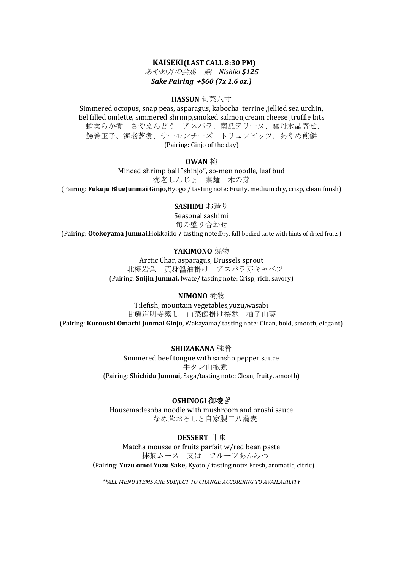# **KAISEKI(LAST CALL 8:30 PM)**

あやめ月の会席 錦 *Nishiki \$125 Sake Pairing +\$60 (7x 1.6 oz.)*

#### **HASSUN** 旬菜八寸

Simmered octopus, snap peas, asparagus, kabocha terrine ,jellied sea urchin, Eel filled omlette, simmered shrimp,smoked salmon,cream cheese ,truffle bits 蛸柔らか煮 さやえんどう アスパラ、南瓜テリーヌ、雲丹水晶寄せ、 鰻巻玉子、海老芝煮、サーモンチーズ トリュフビッツ、あやめ煎餅 (Pairing: Ginjo of the day)

## **OWAN** 椀

Minced shrimp ball "shinjo", so-men noodle, leaf bud 海老しんじょ 素麺 木の芽 (Pairing: **Fukuju BlueJunmai Ginjo,**Hyogo / tasting note: Fruity, medium dry, crisp, clean finish)

### **SASHIMI** お造り

Seasonal sashimi 旬の盛り合わせ

(Pairing: **Otokoyama Junmai**,Hokkaido **/** tasting note:Dry, full-bodied taste with hints of dried fruits)

### **YAKIMONO** 焼物

Arctic Char, asparagus, Brussels sprout 北極岩魚 黄身醤油掛け アスパラ芽キャベツ (Pairing: **Suijin Junmai,** Iwate/ tasting note: Crisp, rich, savory)

### **NIMONO** 煮物

Tilefish, mountain vegetables,yuzu,wasabi 甘鯛道明寺蒸し 山菜餡掛け桜麩 柚子山葵 (Pairing: **Kuroushi Omachi Junmai Ginjo**, Wakayama/ tasting note: Clean, bold, smooth, elegant)

**SHIIZAKANA** 強肴

Simmered beef tongue with sansho pepper sauce 牛タン山椒煮 (Pairing: **Shichida Junmai,** Saga/tasting note: Clean, fruity, smooth)

# **OSHINOGI** 御凌ぎ

Housemadesoba noodle with mushroom and oroshi sauce なめ茸おろしと自家製二八蕎麦

# **DESSERT** 甘味

Matcha mousse or fruits parfait w/red bean paste 抹茶ムース 又は フルーツあんみつ (Pairing: **Yuzu omoi Yuzu Sake,** Kyoto / tasting note: Fresh, aromatic, citric)

*\*\*ALL MENU ITEMS ARE SUBJECT TO CHANGE ACCORDING TO AVAILABILITY*